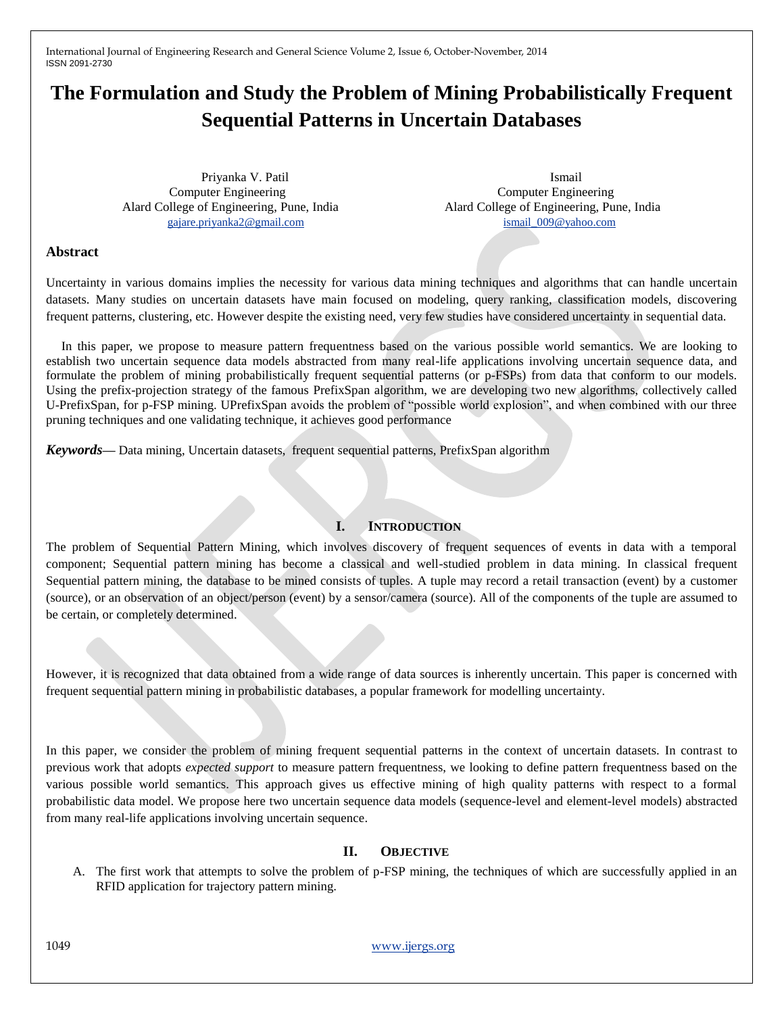# **The Formulation and Study the Problem of Mining Probabilistically Frequent Sequential Patterns in Uncertain Databases**

Priyanka V. Patil Computer Engineering Computer Engineering Alard College of Engineering, Pune, India Alard College of Engineering, Pune, India [gajare.priyanka2@gmail.com](mailto:gajare.priyanka2@gmail.com) [ismail\\_009@yahoo.com](mailto:ismail_009@yahoo.com)

Ismail

## **Abstract**

Uncertainty in various domains implies the necessity for various data mining techniques and algorithms that can handle uncertain datasets. Many studies on uncertain datasets have main focused on modeling, query ranking, classification models, discovering frequent patterns, clustering, etc. However despite the existing need, very few studies have considered uncertainty in sequential data.

In this paper, we propose to measure pattern frequentness based on the various possible world semantics. We are looking to establish two uncertain sequence data models abstracted from many real-life applications involving uncertain sequence data, and formulate the problem of mining probabilistically frequent sequential patterns (or p-FSPs) from data that conform to our models. Using the prefix-projection strategy of the famous PrefixSpan algorithm, we are developing two new algorithms, collectively called U-PrefixSpan, for p-FSP mining. UPrefixSpan avoids the problem of "possible world explosion", and when combined with our three pruning techniques and one validating technique, it achieves good performance

*Keywords—* Data mining, Uncertain datasets, frequent sequential patterns, PrefixSpan algorithm

## **I. INTRODUCTION**

The problem of Sequential Pattern Mining, which involves discovery of frequent sequences of events in data with a temporal component; Sequential pattern mining has become a classical and well-studied problem in data mining. In classical frequent Sequential pattern mining, the database to be mined consists of tuples. A tuple may record a retail transaction (event) by a customer (source), or an observation of an object/person (event) by a sensor/camera (source). All of the components of the tuple are assumed to be certain, or completely determined.

However, it is recognized that data obtained from a wide range of data sources is inherently uncertain. This paper is concerned with frequent sequential pattern mining in probabilistic databases, a popular framework for modelling uncertainty.

In this paper, we consider the problem of mining frequent sequential patterns in the context of uncertain datasets. In contrast to previous work that adopts *expected support* to measure pattern frequentness, we looking to define pattern frequentness based on the various possible world semantics. This approach gives us effective mining of high quality patterns with respect to a formal probabilistic data model. We propose here two uncertain sequence data models (sequence-level and element-level models) abstracted from many real-life applications involving uncertain sequence.

## **II. OBJECTIVE**

A. The first work that attempts to solve the problem of p-FSP mining, the techniques of which are successfully applied in an RFID application for trajectory pattern mining.

1049 www.ijergs.org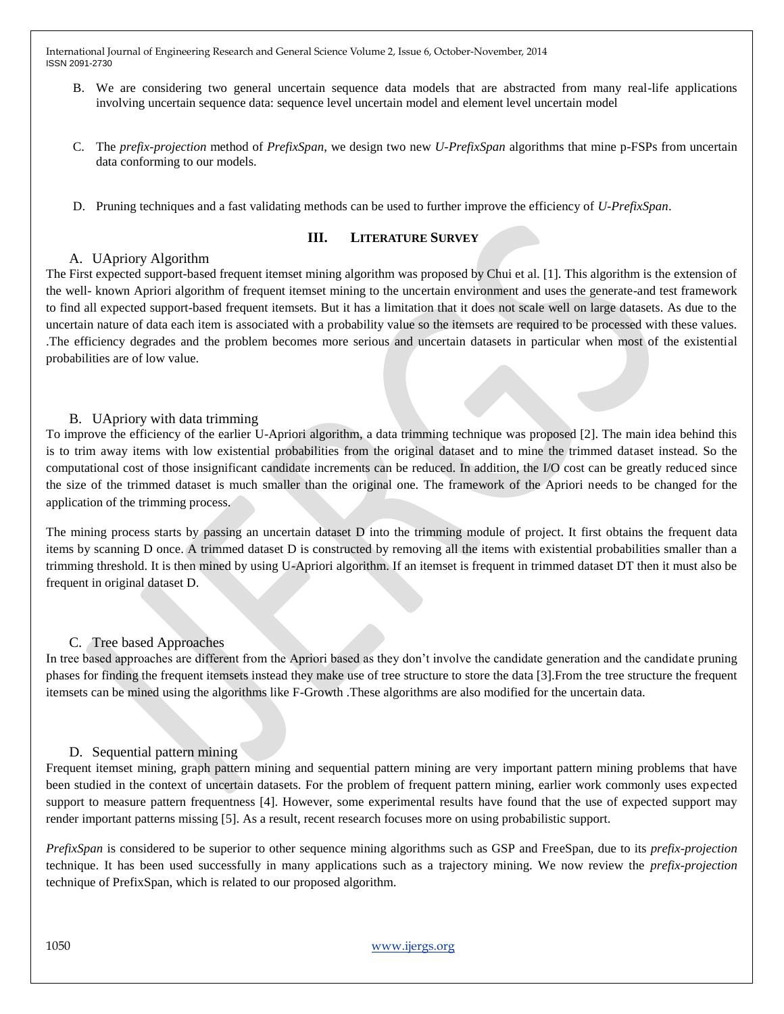- B. We are considering two general uncertain sequence data models that are abstracted from many real-life applications involving uncertain sequence data: sequence level uncertain model and element level uncertain model
- C. The *prefix-projection* method of *PrefixSpan*, we design two new *U-PrefixSpan* algorithms that mine p-FSPs from uncertain data conforming to our models.
- D. Pruning techniques and a fast validating methods can be used to further improve the efficiency of *U-PrefixSpan*.

#### **III. LITERATURE SURVEY**

## A. UApriory Algorithm

The First expected support-based frequent itemset mining algorithm was proposed by Chui et al. [1]. This algorithm is the extension of the well- known Apriori algorithm of frequent itemset mining to the uncertain environment and uses the generate-and test framework to find all expected support-based frequent itemsets. But it has a limitation that it does not scale well on large datasets. As due to the uncertain nature of data each item is associated with a probability value so the itemsets are required to be processed with these values. .The efficiency degrades and the problem becomes more serious and uncertain datasets in particular when most of the existential probabilities are of low value.

## B. UApriory with data trimming

To improve the efficiency of the earlier U-Apriori algorithm, a data trimming technique was proposed [2]. The main idea behind this is to trim away items with low existential probabilities from the original dataset and to mine the trimmed dataset instead. So the computational cost of those insignificant candidate increments can be reduced. In addition, the I/O cost can be greatly reduced since the size of the trimmed dataset is much smaller than the original one. The framework of the Apriori needs to be changed for the application of the trimming process.

The mining process starts by passing an uncertain dataset D into the trimming module of project. It first obtains the frequent data items by scanning D once. A trimmed dataset D is constructed by removing all the items with existential probabilities smaller than a trimming threshold. It is then mined by using U-Apriori algorithm. If an itemset is frequent in trimmed dataset DT then it must also be frequent in original dataset D.

## C. Tree based Approaches

In tree based approaches are different from the Apriori based as they don't involve the candidate generation and the candidate pruning phases for finding the frequent itemsets instead they make use of tree structure to store the data [3].From the tree structure the frequent itemsets can be mined using the algorithms like F-Growth .These algorithms are also modified for the uncertain data.

## D. Sequential pattern mining

Frequent itemset mining, graph pattern mining and sequential pattern mining are very important pattern mining problems that have been studied in the context of uncertain datasets. For the problem of frequent pattern mining, earlier work commonly uses expected support to measure pattern frequentness [4]. However, some experimental results have found that the use of expected support may render important patterns missing [5]. As a result, recent research focuses more on using probabilistic support.

*PrefixSpan* is considered to be superior to other sequence mining algorithms such as GSP and FreeSpan, due to its *prefix-projection*  technique. It has been used successfully in many applications such as a trajectory mining. We now review the *prefix-projection*  technique of PrefixSpan, which is related to our proposed algorithm.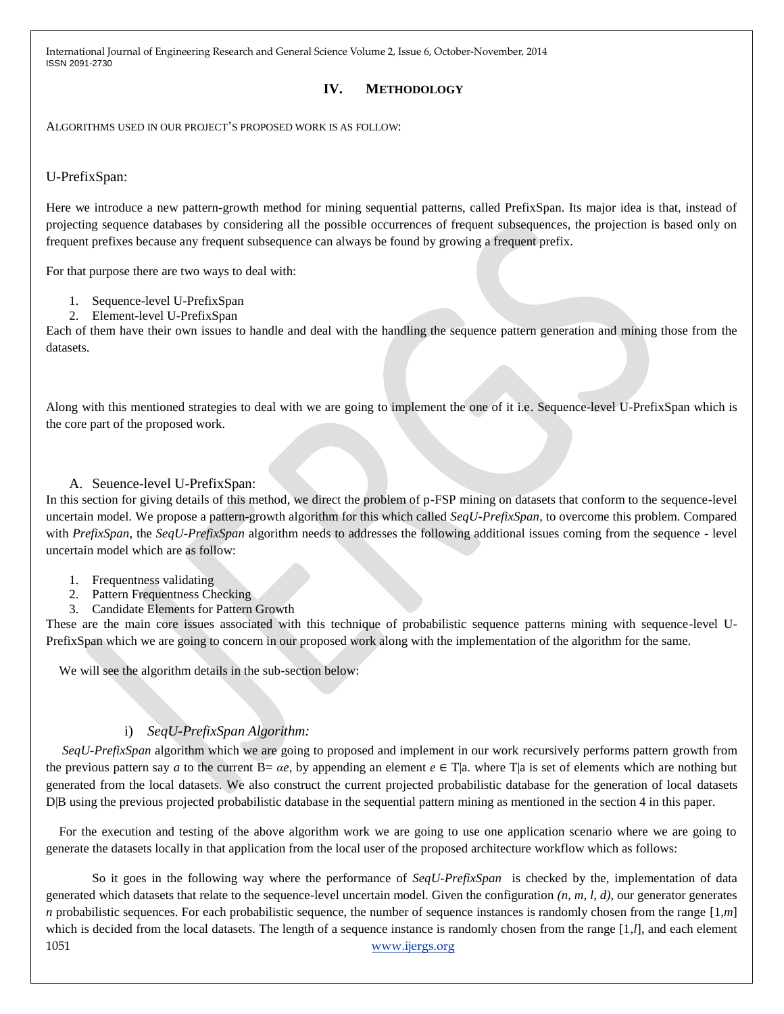## **IV. METHODOLOGY**

ALGORITHMS USED IN OUR PROJECT'S PROPOSED WORK IS AS FOLLOW:

## U-PrefixSpan:

Here we introduce a new pattern-growth method for mining sequential patterns, called PrefixSpan. Its major idea is that, instead of projecting sequence databases by considering all the possible occurrences of frequent subsequences, the projection is based only on frequent prefixes because any frequent subsequence can always be found by growing a frequent prefix.

For that purpose there are two ways to deal with:

- 1. Sequence-level U-PrefixSpan
- 2. Element-level U-PrefixSpan

Each of them have their own issues to handle and deal with the handling the sequence pattern generation and mining those from the datasets.

Along with this mentioned strategies to deal with we are going to implement the one of it i.e. Sequence-level U-PrefixSpan which is the core part of the proposed work.

## A. Seuence-level U-PrefixSpan:

In this section for giving details of this method, we direct the problem of p-FSP mining on datasets that conform to the sequence-level uncertain model. We propose a pattern-growth algorithm for this which called *SeqU-PrefixSpan*, to overcome this problem. Compared with *PrefixSpan*, the *SeqU-PrefixSpan* algorithm needs to addresses the following additional issues coming from the sequence - level uncertain model which are as follow:

- 1. Frequentness validating
- 2. Pattern Frequentness Checking
- 3. Candidate Elements for Pattern Growth

These are the main core issues associated with this technique of probabilistic sequence patterns mining with sequence-level U-PrefixSpan which we are going to concern in our proposed work along with the implementation of the algorithm for the same.

We will see the algorithm details in the sub-section below:

## i) *SeqU-PrefixSpan Algorithm:*

*SeqU-PrefixSpan* algorithm which we are going to proposed and implement in our work recursively performs pattern growth from the previous pattern say *a* to the current  $B = \alpha e$ , by appending an element  $e \in T$  a. where  $T$  a is set of elements which are nothing but generated from the local datasets. We also construct the current projected probabilistic database for the generation of local datasets D|B using the previous projected probabilistic database in the sequential pattern mining as mentioned in the section 4 in this paper.

For the execution and testing of the above algorithm work we are going to use one application scenario where we are going to generate the datasets locally in that application from the local user of the proposed architecture workflow which as follows:

1051 www.ijergs.org So it goes in the following way where the performance of *SeqU-PrefixSpan* is checked by the, implementation of data generated which datasets that relate to the sequence-level uncertain model. Given the configuration *(n, m, l, d)*, our generator generates *n* probabilistic sequences. For each probabilistic sequence, the number of sequence instances is randomly chosen from the range [1,*m*] which is decided from the local datasets. The length of a sequence instance is randomly chosen from the range [1*,l*], and each element